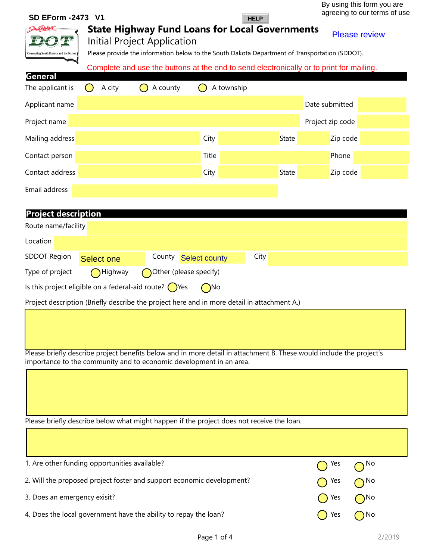| SD EForm - 2473 V1                                                                                                                                                                          | <b>HELP</b>                  |       | agreeing to our terms of use |  |  |
|---------------------------------------------------------------------------------------------------------------------------------------------------------------------------------------------|------------------------------|-------|------------------------------|--|--|
| <b>State Highway Fund Loans for Local Governments</b><br>Initial Project Application<br>onnecting South Dakota and the Nati                                                                 |                              |       | <b>Please review</b>         |  |  |
| Please provide the information below to the South Dakota Department of Transportation (SDDOT).                                                                                              |                              |       |                              |  |  |
| Complete and use the buttons at the end to send electronically or to print for mailing.<br>General                                                                                          |                              |       |                              |  |  |
| The applicant is<br>A city<br>A county                                                                                                                                                      | A township                   |       |                              |  |  |
| Applicant name                                                                                                                                                                              |                              |       | Date submitted               |  |  |
| Project name                                                                                                                                                                                |                              |       | Project zip code             |  |  |
| Mailing address                                                                                                                                                                             | City                         | State | Zip code                     |  |  |
| Contact person                                                                                                                                                                              | Title                        |       | Phone                        |  |  |
| Contact address                                                                                                                                                                             | City                         | State | Zip code                     |  |  |
| Email address                                                                                                                                                                               |                              |       |                              |  |  |
| <b>Project description</b>                                                                                                                                                                  |                              |       |                              |  |  |
| Route name/facility                                                                                                                                                                         |                              |       |                              |  |  |
| Location                                                                                                                                                                                    |                              |       |                              |  |  |
| <b>SDDOT Region</b><br>County<br><b>Select one</b>                                                                                                                                          | City<br><b>Select county</b> |       |                              |  |  |
| Type of project<br>Highway<br>Other (please specify)                                                                                                                                        |                              |       |                              |  |  |
| Is this project eligible on a federal-aid route? $\bigcirc$ Yes                                                                                                                             | $\bigcap$ No                 |       |                              |  |  |
| Project description (Briefly describe the project here and in more detail in attachment A.)                                                                                                 |                              |       |                              |  |  |
|                                                                                                                                                                                             |                              |       |                              |  |  |
| Please briefly describe project benefits below and in more detail in attachment B. These would include the project's<br>importance to the community and to economic development in an area. |                              |       |                              |  |  |
| Please briefly describe below what might happen if the project does not receive the loan.                                                                                                   |                              |       |                              |  |  |

| 1. Are other funding opportunities available?                         | $\bigcap$ Yes $\bigcap$ No |              |
|-----------------------------------------------------------------------|----------------------------|--------------|
| 2. Will the proposed project foster and support economic development? | $\bigcap$ Yes              | $\bigcap$ No |
| 3. Does an emergency exisit?                                          | $\bigcap$ Yes              | $\bigcap$ No |
| 4. Does the local government have the ability to repay the loan?      | Yes                        | ( )No        |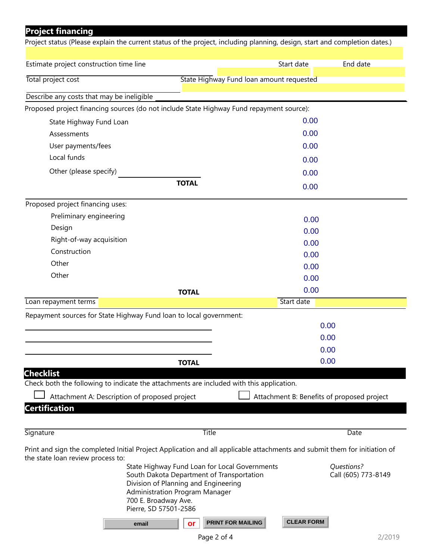| <b>Project financing</b>                                                                                                                                       |                                                                                                                                    |                                            |                                   |  |
|----------------------------------------------------------------------------------------------------------------------------------------------------------------|------------------------------------------------------------------------------------------------------------------------------------|--------------------------------------------|-----------------------------------|--|
| Project status (Please explain the current status of the project, including planning, design, start and completion dates.)                                     |                                                                                                                                    |                                            |                                   |  |
|                                                                                                                                                                |                                                                                                                                    |                                            |                                   |  |
| Estimate project construction time line                                                                                                                        |                                                                                                                                    | Start date                                 | End date                          |  |
| Total project cost                                                                                                                                             | State Highway Fund loan amount requested                                                                                           |                                            |                                   |  |
| Describe any costs that may be ineligible                                                                                                                      |                                                                                                                                    |                                            |                                   |  |
| Proposed project financing sources (do not include State Highway Fund repayment source):                                                                       |                                                                                                                                    |                                            |                                   |  |
| State Highway Fund Loan                                                                                                                                        |                                                                                                                                    | 0.00                                       |                                   |  |
| Assessments                                                                                                                                                    |                                                                                                                                    | 0.00                                       |                                   |  |
| User payments/fees                                                                                                                                             |                                                                                                                                    | 0.00                                       |                                   |  |
| Local funds                                                                                                                                                    |                                                                                                                                    |                                            |                                   |  |
| Other (please specify)                                                                                                                                         |                                                                                                                                    | 0.00                                       |                                   |  |
|                                                                                                                                                                | <b>TOTAL</b>                                                                                                                       | 0.00                                       |                                   |  |
|                                                                                                                                                                |                                                                                                                                    | 0.00                                       |                                   |  |
| Proposed project financing uses:                                                                                                                               |                                                                                                                                    |                                            |                                   |  |
| Preliminary engineering                                                                                                                                        |                                                                                                                                    | 0.00                                       |                                   |  |
| Design                                                                                                                                                         |                                                                                                                                    | 0.00                                       |                                   |  |
| Right-of-way acquisition                                                                                                                                       |                                                                                                                                    | 0.00                                       |                                   |  |
| Construction                                                                                                                                                   |                                                                                                                                    | 0.00                                       |                                   |  |
| Other                                                                                                                                                          |                                                                                                                                    | 0.00                                       |                                   |  |
| Other                                                                                                                                                          |                                                                                                                                    | 0.00                                       |                                   |  |
|                                                                                                                                                                | <b>TOTAL</b>                                                                                                                       | 0.00                                       |                                   |  |
| Loan repayment terms                                                                                                                                           |                                                                                                                                    | Start date                                 |                                   |  |
| Repayment sources for State Highway Fund loan to local government:                                                                                             |                                                                                                                                    |                                            |                                   |  |
|                                                                                                                                                                |                                                                                                                                    |                                            | 0.00                              |  |
|                                                                                                                                                                |                                                                                                                                    | 0.00                                       |                                   |  |
|                                                                                                                                                                |                                                                                                                                    | 0.00                                       |                                   |  |
|                                                                                                                                                                | <b>TOTAL</b>                                                                                                                       |                                            | 0.00                              |  |
| <b>Checklist</b>                                                                                                                                               |                                                                                                                                    |                                            |                                   |  |
| Check both the following to indicate the attachments are included with this application.                                                                       |                                                                                                                                    |                                            |                                   |  |
| Attachment A: Description of proposed project                                                                                                                  |                                                                                                                                    | Attachment B: Benefits of proposed project |                                   |  |
| <b>Certification</b>                                                                                                                                           |                                                                                                                                    |                                            |                                   |  |
|                                                                                                                                                                |                                                                                                                                    |                                            |                                   |  |
| Signature                                                                                                                                                      | <b>Title</b>                                                                                                                       |                                            | Date                              |  |
| Print and sign the completed Initial Project Application and all applicable attachments and submit them for initiation of<br>the state loan review process to: |                                                                                                                                    |                                            |                                   |  |
| <b>Administration Program Manager</b><br>700 E. Broadway Ave.<br>Pierre, SD 57501-2586                                                                         | State Highway Fund Loan for Local Governments<br>South Dakota Department of Transportation<br>Division of Planning and Engineering |                                            | Questions?<br>Call (605) 773-8149 |  |
| email                                                                                                                                                          | <b>PRINT FOR MAILING</b><br>or                                                                                                     | <b>CLEAR FORM</b>                          |                                   |  |
|                                                                                                                                                                | Page 2 of 4                                                                                                                        |                                            | 2/2019                            |  |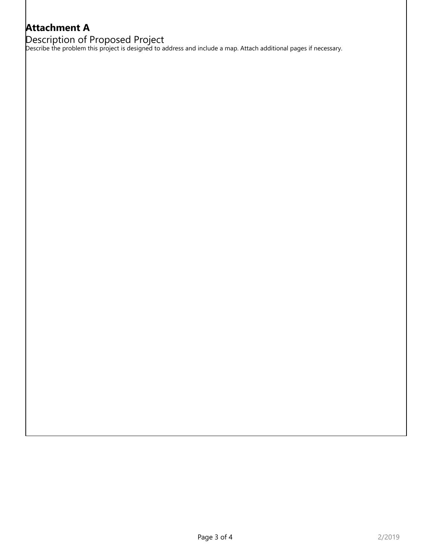## **Attachment A**

Description of Proposed Project

Describe the problem this project is designed to address and include a map. Attach additional pages if necessary.